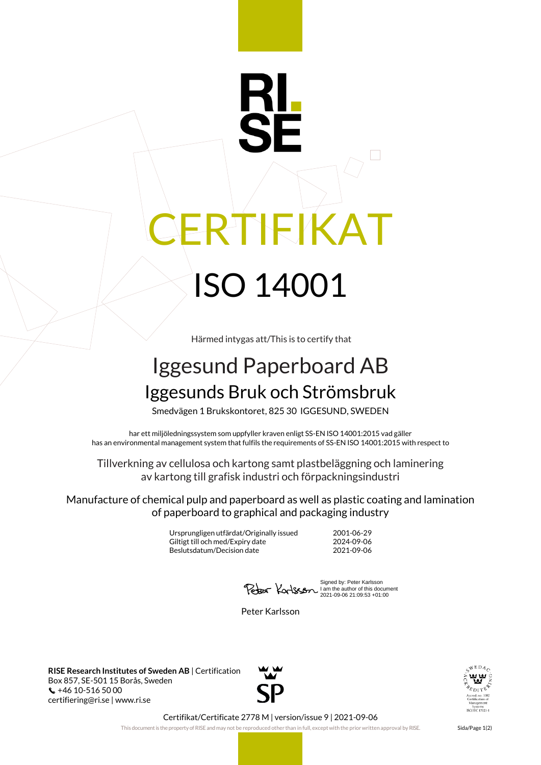## IEIKAT ISO 14001

Härmed intygas att/This is to certify that

## Iggesund Paperboard AB Iggesunds Bruk och Strömsbruk

Smedvägen 1 Brukskontoret, 825 30 IGGESUND, SWEDEN

har ett miljöledningssystem som uppfyller kraven enligt SS-EN ISO 14001:2015 vad gäller has an environmental management system that fulfils the requirements of SS-EN ISO 14001:2015 with respect to

Tillverkning av cellulosa och kartong samt plastbeläggning och laminering av kartong till grafisk industri och förpackningsindustri

Manufacture of chemical pulp and paperboard as well as plastic coating and lamination of paperboard to graphical and packaging industry

> Ursprungligen utfärdat/Originally issued 2001-06-29 Giltigt till och med/Expiry date 2024-09-06<br>Beslutsdatum/Decision date 2021-09-06 Beslutsdatum/Decision date

Signed by: Peter Karlsson I am the author of this document 2021-09-06 21:09:53 +01:00

Peter Karlsson

**RISE Research Institutes of Sweden AB** | Certification Box 857, SE-501 15 Borås, Sweden +46 10-516 50 00 certifiering@ri.se | www.ri.se





Certifikat/Certificate 2778 M | version/issue 9 | 2021-09-06

This document is the property of RISE and may not be reproduced other than in full, except with the prior written approval by RISE. Sida/Page 1(2)